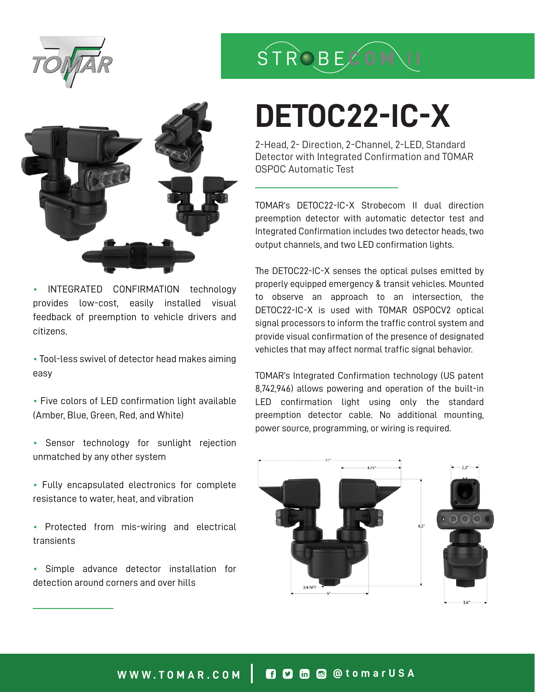



• INTEGRATED CONFIRMATION technology provides low-cost, easily installed visual feedback of preemption to vehicle drivers and citizens.

• Tool-less swivel of detector head makes aiming easy

• Five colors of LED confirmation light available (Amber, Blue, Green, Red, and White)

• Sensor technology for sunlight rejection unmatched by any other system

- Fully encapsulated electronics for complete resistance to water, heat, and vibration
- Protected from mis-wiring and electrical transients
- Simple advance detector installation for detection around corners and over hills

## STROBECOM

# **DETOC22-IC-X**

2-Head, 2- Direction, 2-Channel, 2-LED, Standard Detector with Integrated Confirmation and TOMAR OSPOC Automatic Test

TOMAR's DETOC22-IC-X Strobecom II dual direction preemption detector with automatic detector test and Integrated Confirmation includes two detector heads, two output channels, and two LED confirmation lights.

The DETOC22-IC-X senses the optical pulses emitted by properly equipped emergency & transit vehicles. Mounted to observe an approach to an intersection, the DETOC22-IC-X is used with TOMAR OSPOCV2 optical signal processors to inform the traffic control system and provide visual confirmation of the presence of designated vehicles that may affect normal traffic signal behavior.

TOMAR's Integrated Confirmation technology (US patent 8,742,946) allows powering and operation of the built-in LED confirmation light using only the standard preemption detector cable. No additional mounting, power source, programming, or wiring is required.